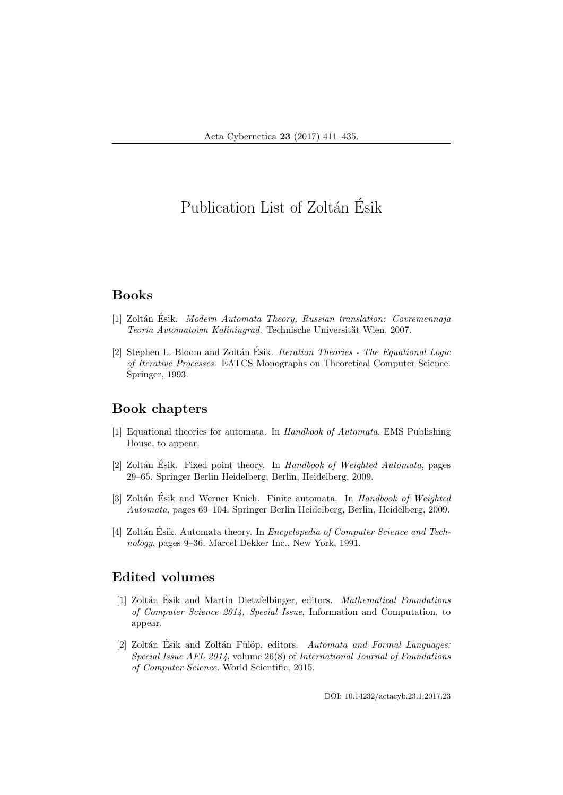# Publication List of Zoltán Ésik

# Books

- [1] Zoltán Ésik. Modern Automata Theory, Russian translation: Covremennaja Teoria Avtomatovm Kaliningrad. Technische Universität Wien, 2007.
- [2] Stephen L. Bloom and Zoltán Ésik. *Iteration Theories The Equational Logic* of Iterative Processes. EATCS Monographs on Theoretical Computer Science. Springer, 1993.

## Book chapters

- [1] Equational theories for automata. In Handbook of Automata. EMS Publishing House, to appear.
- [2] Zoltán Esik. Fixed point theory. In Handbook of Weighted Automata, pages 29–65. Springer Berlin Heidelberg, Berlin, Heidelberg, 2009.
- [3] Zoltán Ésik and Werner Kuich. Finite automata. In Handbook of Weighted Automata, pages 69–104. Springer Berlin Heidelberg, Berlin, Heidelberg, 2009.
- [4] Zoltán Ésik. Automata theory. In *Encyclopedia of Computer Science and Tech*nology, pages 9–36. Marcel Dekker Inc., New York, 1991.

# Edited volumes

- [1] Zoltán Ésik and Martin Dietzfelbinger, editors. *Mathematical Foundations* of Computer Science 2014, Special Issue, Information and Computation, to appear.
- [2] Zoltán Ésik and Zoltán Fülöp, editors. Automata and Formal Languages: Special Issue AFL 2014, volume 26(8) of International Journal of Foundations of Computer Science. World Scientific, 2015.

DOI: 10.14232/actacyb.23.1.2017.23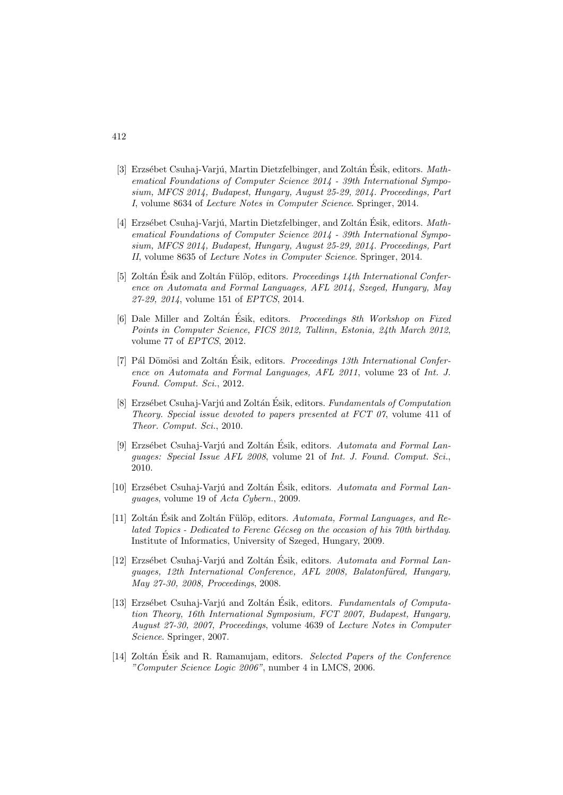- [3] Erzsébet Csuhaj-Varjú, Martin Dietzfelbinger, and Zoltán Ésik, editors.  $Math$ ematical Foundations of Computer Science 2014 - 39th International Symposium, MFCS 2014, Budapest, Hungary, August 25-29, 2014. Proceedings, Part I, volume 8634 of Lecture Notes in Computer Science. Springer, 2014.
- [4] Erzsébet Csuhaj-Varjú, Martin Dietzfelbinger, and Zoltán Ésik, editors.  $Math$ ematical Foundations of Computer Science 2014 - 39th International Symposium, MFCS 2014, Budapest, Hungary, August 25-29, 2014. Proceedings, Part II, volume 8635 of Lecture Notes in Computer Science. Springer, 2014.
- [5] Zoltán Ésik and Zoltán Fülöp, editors. *Proceedings 14th International Confer*ence on Automata and Formal Languages, AFL 2014, Szeged, Hungary, May 27-29, 2014, volume 151 of EPTCS, 2014.
- [6] Dale Miller and Zoltán Ésik, editors. Proceedings 8th Workshop on Fixed Points in Computer Science, FICS 2012, Tallinn, Estonia, 24th March 2012, volume 77 of EPTCS, 2012.
- [7] Pál Dömösi and Zoltán Ésik, editors. Proceedings 13th International Conference on Automata and Formal Languages, AFL 2011, volume 23 of Int. J. Found. Comput. Sci., 2012.
- [8] Erzsébet Csuhaj-Varjú and Zoltán Ésik, editors. *Fundamentals of Computation* Theory. Special issue devoted to papers presented at FCT 07, volume 411 of Theor. Comput. Sci., 2010.
- [9] Erzsébet Csuhaj-Varjú and Zoltán Ésik, editors. Automata and Formal Languages: Special Issue AFL 2008, volume 21 of Int. J. Found. Comput. Sci., 2010.
- [10] Erzsébet Csuhaj-Varjú and Zoltán Ésik, editors. Automata and Formal Languages, volume 19 of Acta Cybern., 2009.
- [11] Zoltán Ésik and Zoltán Fülöp, editors. Automata, Formal Languages, and Related Topics - Dedicated to Ferenc Gécseq on the occasion of his 70th birthday. Institute of Informatics, University of Szeged, Hungary, 2009.
- [12] Erzsébet Csuhaj-Varjú and Zoltán Ésik, editors. Automata and Formal Languages, 12th International Conference, AFL 2008, Balatonfüred, Hungary, May 27-30, 2008, Proceedings, 2008.
- [13] Erzsébet Csuhaj-Varjú and Zoltán Ésik, editors. Fundamentals of Computation Theory, 16th International Symposium, FCT 2007, Budapest, Hungary, August 27-30, 2007, Proceedings, volume 4639 of Lecture Notes in Computer Science. Springer, 2007.
- [14] Zoltán Ésik and R. Ramanujam, editors. Selected Papers of the Conference "Computer Science Logic 2006", number 4 in LMCS, 2006.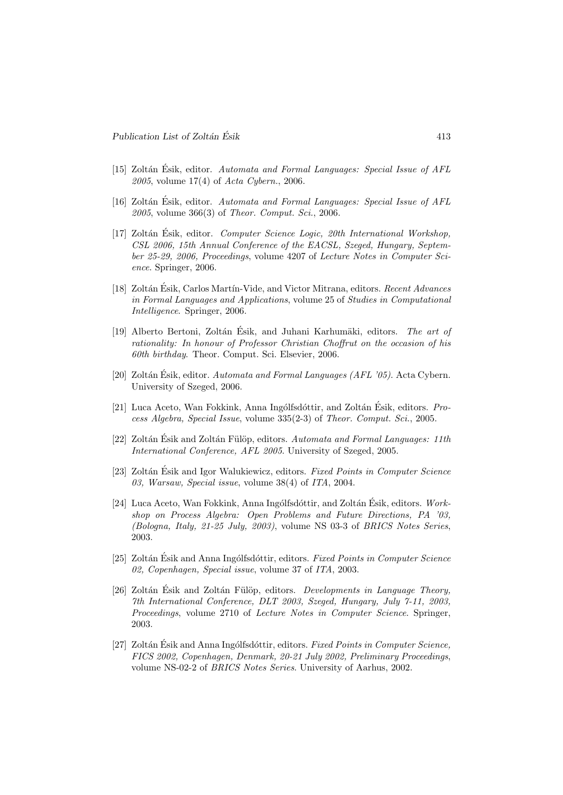- [15] Zoltán Ésik, editor. Automata and Formal Languages: Special Issue of AFL  $2005$ , volume 17(4) of Acta Cybern., 2006.
- [16] Zoltán Ésik, editor. Automata and Formal Languages: Special Issue of AFL 2005, volume 366(3) of Theor. Comput. Sci., 2006.
- [17] Zoltán Ésik, editor. Computer Science Logic, 20th International Workshop, CSL 2006, 15th Annual Conference of the EACSL, Szeged, Hungary, September 25-29, 2006, Proceedings, volume 4207 of Lecture Notes in Computer Science. Springer, 2006.
- [18] Zoltán Ésik, Carlos Martín-Vide, and Victor Mitrana, editors. Recent Advances in Formal Languages and Applications, volume 25 of Studies in Computational Intelligence. Springer, 2006.
- [19] Alberto Bertoni, Zoltán Ésik, and Juhani Karhumäki, editors. The art of rationality: In honour of Professor Christian Choffrut on the occasion of his 60th birthday. Theor. Comput. Sci. Elsevier, 2006.
- [20] Zoltán Ésik, editor. Automata and Formal Languages (AFL '05). Acta Cybern. University of Szeged, 2006.
- [21] Luca Aceto, Wan Fokkink, Anna Ingólfsdóttir, and Zoltán Ésik, editors.  $Pro$ cess Algebra, Special Issue, volume 335(2-3) of Theor. Comput. Sci., 2005.
- [22] Zoltán Ésik and Zoltán Fülöp, editors. Automata and Formal Languages: 11th International Conference, AFL 2005. University of Szeged, 2005.
- [23] Zoltán Ésik and Igor Walukiewicz, editors. Fixed Points in Computer Science 03, Warsaw, Special issue, volume 38(4) of ITA, 2004.
- [24] Luca Aceto, Wan Fokkink, Anna Ingólfsdóttir, and Zoltán Ésik, editors.  $Work$ shop on Process Algebra: Open Problems and Future Directions, PA '03, (Bologna, Italy, 21-25 July, 2003), volume NS 03-3 of BRICS Notes Series, 2003.
- [25] Zoltán Ésik and Anna Ingólfsdóttir, editors. Fixed Points in Computer Science 02, Copenhagen, Special issue, volume 37 of ITA, 2003.
- [26] Zoltán Ésik and Zoltán Fülöp, editors. *Developments in Language Theory*, 7th International Conference, DLT 2003, Szeged, Hungary, July 7-11, 2003, Proceedings, volume 2710 of Lecture Notes in Computer Science. Springer, 2003.
- [27] Zoltán Ésik and Anna Ingólfsdóttir, editors. Fixed Points in Computer Science, FICS 2002, Copenhagen, Denmark, 20-21 July 2002, Preliminary Proceedings, volume NS-02-2 of BRICS Notes Series. University of Aarhus, 2002.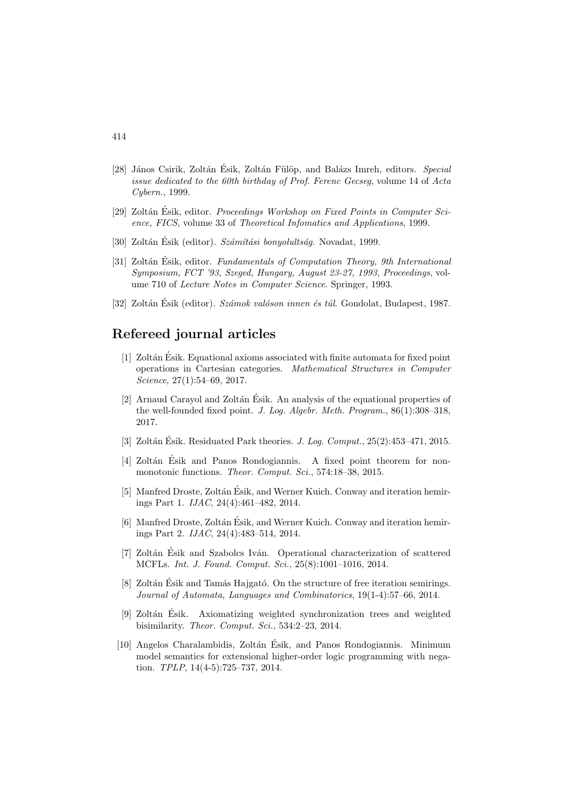- [28] János Csirik, Zoltán Ésik, Zoltán Fülöp, and Balázs Imreh, editors. Special issue dedicated to the 60th birthday of Prof. Ferenc Gecseg, volume 14 of Acta Cybern., 1999.
- [29] Zoltán Ésik, editor. *Proceedings Workshop on Fixed Points in Computer Sci*ence, FICS, volume 33 of Theoretical Infomatics and Applications, 1999.
- [30] Zoltán Ésik (editor). Számítási bonyolultság. Novadat, 1999.
- [31] Zoltán Ésik, editor. Fundamentals of Computation Theory, 9th International Symposium, FCT '93, Szeged, Hungary, August 23-27, 1993, Proceedings, volume 710 of Lecture Notes in Computer Science. Springer, 1993.
- [32] Zoltán Ésik (editor). *Számok valóson innen és túl*. Gondolat, Budapest, 1987.

## Refereed journal articles

- [1] Zolt´an Esik. Equational axioms associated with finite automata for fixed point ´ operations in Cartesian categories. Mathematical Structures in Computer Science, 27(1):54–69, 2017.
- [2] Arnaud Carayol and Zoltán Ésik. An analysis of the equational properties of the well-founded fixed point. J. Log. Algebr. Meth. Program., 86(1):308–318, 2017.
- [3] Zoltán Ésik. Residuated Park theories. *J. Log. Comput.*,  $25(2):453-471$ ,  $2015$ .
- [4] Zoltán Ésik and Panos Rondogiannis. A fixed point theorem for nonmonotonic functions. *Theor. Comput. Sci.*, 574:18-38, 2015.
- [5] Manfred Droste, Zoltán Ésik, and Werner Kuich. Conway and iteration hemirings Part 1. IJAC, 24(4):461–482, 2014.
- [6] Manfred Droste, Zoltán Ésik, and Werner Kuich. Conway and iteration hemirings Part 2. IJAC, 24(4):483–514, 2014.
- [7] Zoltán Ésik and Szabolcs Iván. Operational characterization of scattered MCFLs. Int. J. Found. Comput. Sci., 25(8):1001–1016, 2014.
- [8] Zoltán Ésik and Tamás Hajgató. On the structure of free iteration semirings. Journal of Automata, Languages and Combinatorics, 19(1-4):57–66, 2014.
- [9] Zoltán Ésik. Axiomatizing weighted synchronization trees and weighted bisimilarity. Theor. Comput. Sci., 534:2–23, 2014.
- [10] Angelos Charalambidis, Zoltán Ésik, and Panos Rondogiannis. Minimum model semantics for extensional higher-order logic programming with negation. TPLP, 14(4-5):725–737, 2014.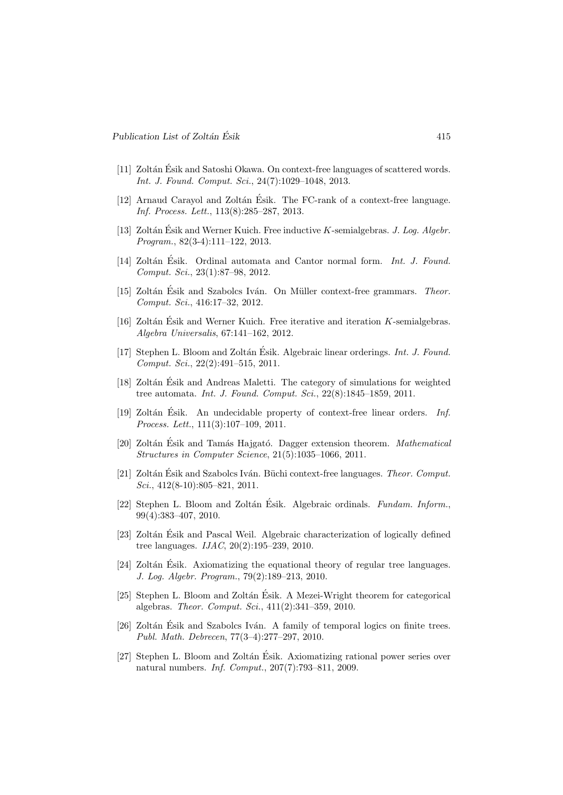- [11] Zoltán Ésik and Satoshi Okawa. On context-free languages of scattered words. Int. J. Found. Comput. Sci., 24(7):1029–1048, 2013.
- [12] Arnaud Carayol and Zoltán Ésik. The FC-rank of a context-free language. Inf. Process. Lett., 113(8):285–287, 2013.
- [13] Zoltán Ésik and Werner Kuich. Free inductive  $K$ -semialgebras. J. Log. Algebr. Program., 82(3-4):111–122, 2013.
- [14] Zoltán Ésik. Ordinal automata and Cantor normal form. Int. J. Found. Comput. Sci., 23(1):87–98, 2012.
- [15] Zoltán Ésik and Szabolcs Iván. On Müller context-free grammars. Theor. Comput. Sci., 416:17–32, 2012.
- [16] Zoltán Ésik and Werner Kuich. Free iterative and iteration  $K$ -semialgebras. Algebra Universalis, 67:141–162, 2012.
- [17] Stephen L. Bloom and Zoltán Ésik. Algebraic linear orderings. *Int. J. Found.* Comput. Sci., 22(2):491–515, 2011.
- [18] Zoltán Ésik and Andreas Maletti. The category of simulations for weighted tree automata. Int. J. Found. Comput. Sci., 22(8):1845–1859, 2011.
- [19] Zoltán Ésik. An undecidable property of context-free linear orders. Inf. Process. Lett., 111(3):107–109, 2011.
- [20] Zoltán Ésik and Tamás Hajgató. Dagger extension theorem. *Mathematical* Structures in Computer Science, 21(5):1035–1066, 2011.
- [21] Zoltán Ésik and Szabolcs Iván. Büchi context-free languages. Theor. Comput. Sci., 412(8-10):805-821, 2011.
- [22] Stephen L. Bloom and Zoltán Ésik. Algebraic ordinals. Fundam. Inform., 99(4):383–407, 2010.
- [23] Zoltán Ésik and Pascal Weil. Algebraic characterization of logically defined tree languages. IJAC, 20(2):195–239, 2010.
- [24] Zoltán Ésik. Axiomatizing the equational theory of regular tree languages. J. Log. Algebr. Program., 79(2):189–213, 2010.
- [25] Stephen L. Bloom and Zoltán Ésik. A Mezei-Wright theorem for categorical algebras. Theor. Comput. Sci., 411(2):341–359, 2010.
- [26] Zoltán Ésik and Szabolcs Iván. A family of temporal logics on finite trees. Publ. Math. Debrecen, 77(3–4):277–297, 2010.
- [27] Stephen L. Bloom and Zoltán Ésik. Axiomatizing rational power series over natural numbers. Inf. Comput., 207(7):793–811, 2009.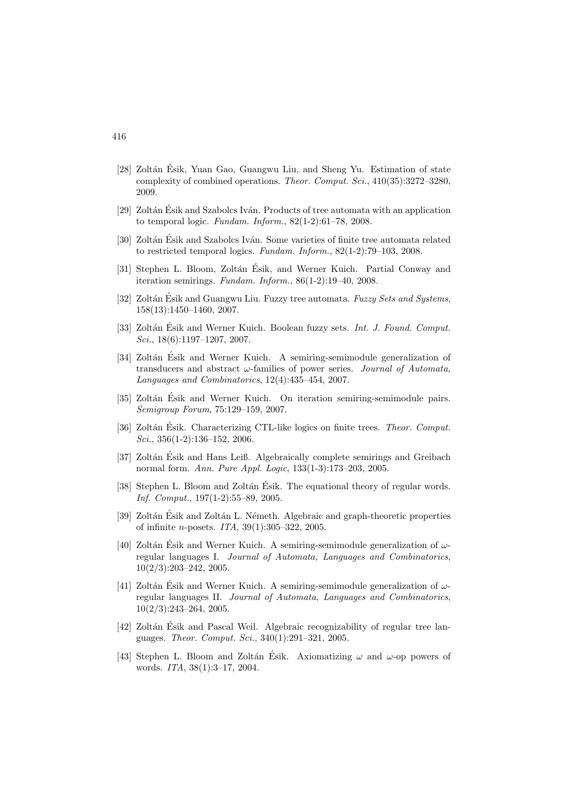- [28] Zoltán Ésik, Yuan Gao, Guangwu Liu, and Sheng Yu. Estimation of state complexity of combined operations. Theor. Comput. Sci., 410(35):3272–3280, 2009.
- [29] Zoltán Ésik and Szabolcs Iván. Products of tree automata with an application to temporal logic. Fundam. Inform., 82(1-2):61–78, 2008.
- [30] Zoltán Ésik and Szabolcs Iván. Some varieties of finite tree automata related to restricted temporal logics. Fundam. Inform., 82(1-2):79–103, 2008.
- [31] Stephen L. Bloom, Zoltán Ésik, and Werner Kuich. Partial Conway and iteration semirings. Fundam. Inform., 86(1-2):19–40, 2008.
- [32] Zoltán Ésik and Guangwu Liu. Fuzzy tree automata. Fuzzy Sets and Systems, 158(13):1450–1460, 2007.
- [33] Zoltán Ésik and Werner Kuich. Boolean fuzzy sets. *Int. J. Found. Comput.* Sci., 18(6):1197–1207, 2007.
- [34] Zoltán Ésik and Werner Kuich. A semiring-semimodule generalization of transducers and abstract  $\omega$ -families of power series. *Journal of Automata*, Languages and Combinatorics, 12(4):435–454, 2007.
- [35] Zoltán Ésik and Werner Kuich. On iteration semiring-semimodule pairs. Semigroup Forum, 75:129–159, 2007.
- [36] Zoltán Ésik. Characterizing CTL-like logics on finite trees. *Theor. Comput.* Sci., 356(1-2):136–152, 2006.
- [37] Zoltán Ésik and Hans Leiß. Algebraically complete semirings and Greibach normal form. Ann. Pure Appl. Logic, 133(1-3):173–203, 2005.
- [38] Stephen L. Bloom and Zoltán Ésik. The equational theory of regular words. Inf. Comput., 197(1-2):55–89, 2005.
- [39] Zoltán Ésik and Zoltán L. Németh. Algebraic and graph-theoretic properties of infinite n-posets. ITA, 39(1):305–322, 2005.
- [40] Zoltán Ésik and Werner Kuich. A semiring-semimodule generalization of  $\omega$ regular languages I. Journal of Automata, Languages and Combinatorics, 10(2/3):203–242, 2005.
- [41] Zoltán Ésik and Werner Kuich. A semiring-semimodule generalization of  $\omega$ regular languages II. Journal of Automata, Languages and Combinatorics, 10(2/3):243–264, 2005.
- [42] Zoltán Ésik and Pascal Weil. Algebraic recognizability of regular tree languages. Theor. Comput. Sci., 340(1):291–321, 2005.
- [43] Stephen L. Bloom and Zoltán Ésik. Axiomatizing  $\omega$  and  $\omega$ -op powers of words. ITA, 38(1):3–17, 2004.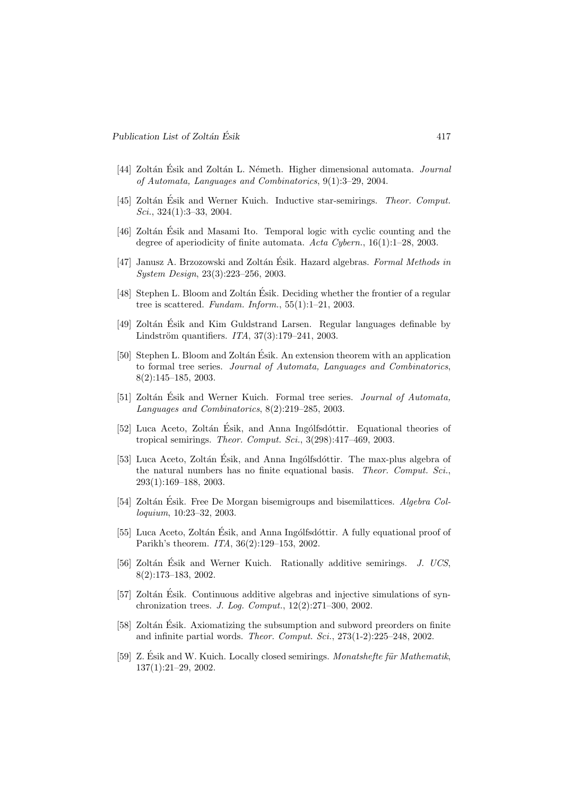- [44] Zoltán Ésik and Zoltán L. Németh. Higher dimensional automata. Journal of Automata, Languages and Combinatorics, 9(1):3–29, 2004.
- [45] Zoltán Ésik and Werner Kuich. Inductive star-semirings. Theor. Comput. Sci., 324(1):3–33, 2004.
- [46] Zoltán Ésik and Masami Ito. Temporal logic with cyclic counting and the degree of aperiodicity of finite automata. Acta Cybern., 16(1):1–28, 2003.
- [47] Janusz A. Brzozowski and Zoltán Ésik. Hazard algebras. Formal Methods in System Design, 23(3):223–256, 2003.
- [48] Stephen L. Bloom and Zoltán Ésik. Deciding whether the frontier of a regular tree is scattered. Fundam. Inform.,  $55(1):1-21$ , 2003.
- [49] Zoltán Ésik and Kim Guldstrand Larsen. Regular languages definable by Lindström quantifiers.  $ITA, 37(3):179-241, 2003$ .
- [50] Stephen L. Bloom and Zoltán Ésik. An extension theorem with an application to formal tree series. Journal of Automata, Languages and Combinatorics, 8(2):145–185, 2003.
- [51] Zoltán Ésik and Werner Kuich. Formal tree series. Journal of Automata, Languages and Combinatorics, 8(2):219–285, 2003.
- [52] Luca Aceto, Zoltán Ésik, and Anna Ingólfsdóttir. Equational theories of tropical semirings. Theor. Comput. Sci., 3(298):417–469, 2003.
- [53] Luca Aceto, Zoltán Ésik, and Anna Ingólfsdóttir. The max-plus algebra of the natural numbers has no finite equational basis. Theor. Comput. Sci., 293(1):169–188, 2003.
- [54] Zoltán Ésik. Free De Morgan bisemigroups and bisemilattices. *Algebra Col*loquium, 10:23–32, 2003.
- [55] Luca Aceto, Zoltán Ésik, and Anna Ingólfsdóttir. A fully equational proof of Parikh's theorem. ITA, 36(2):129–153, 2002.
- [56] Zoltán Ésik and Werner Kuich. Rationally additive semirings. J. UCS, 8(2):173–183, 2002.
- [57] Zoltán Ésik. Continuous additive algebras and injective simulations of synchronization trees. J. Log. Comput., 12(2):271–300, 2002.
- [58] Zoltán Ésik. Axiomatizing the subsumption and subword preorders on finite and infinite partial words. Theor. Comput. Sci., 273(1-2):225–248, 2002.
- [59] Z. Ésik and W. Kuich. Locally closed semirings. *Monatshefte für Mathematik*, 137(1):21–29, 2002.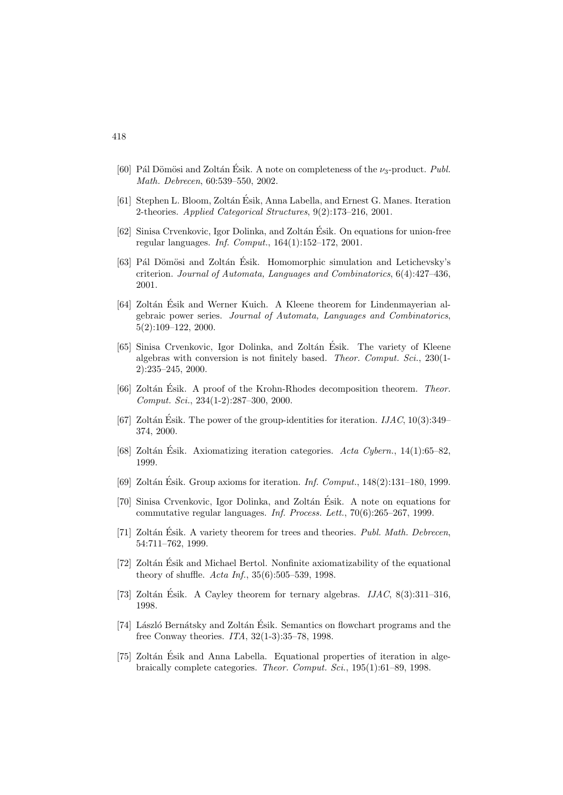- [60] Pál Dömösi and Zoltán Ésik. A note on completeness of the  $\nu_3$ -product. Publ. Math. Debrecen, 60:539–550, 2002.
- [61] Stephen L. Bloom, Zoltán Ésik, Anna Labella, and Ernest G. Manes. Iteration 2-theories. Applied Categorical Structures, 9(2):173–216, 2001.
- $[62]$  Sinisa Crvenkovic, Igor Dolinka, and Zoltán Ésik. On equations for union-free regular languages. Inf. Comput., 164(1):152–172, 2001.
- [63] Pál Dömösi and Zoltán Ésik. Homomorphic simulation and Letichevsky's criterion. Journal of Automata, Languages and Combinatorics, 6(4):427–436, 2001.
- [64] Zoltán Ésik and Werner Kuich. A Kleene theorem for Lindenmayerian algebraic power series. Journal of Automata, Languages and Combinatorics, 5(2):109–122, 2000.
- [65] Sinisa Crvenkovic, Igor Dolinka, and Zoltán Ésik. The variety of Kleene algebras with conversion is not finitely based. Theor. Comput. Sci., 230(1- 2):235–245, 2000.
- $[66]$  Zoltán Ésik. A proof of the Krohn-Rhodes decomposition theorem. Theor. Comput. Sci., 234(1-2):287–300, 2000.
- [67] Zoltán Ésik. The power of the group-identities for iteration.  $IJAC$ , 10(3):349– 374, 2000.
- [68] Zoltán Ésik. Axiomatizing iteration categories.  $Acta$  Cybern., 14(1):65–82, 1999.
- [69] Zoltán Ésik. Group axioms for iteration. *Inf. Comput.*,  $148(2):131-180$ , 1999.
- [70] Sinisa Crvenkovic, Igor Dolinka, and Zoltán Ésik. A note on equations for commutative regular languages. Inf. Process. Lett., 70(6):265–267, 1999.
- [71] Zoltán Ésik. A variety theorem for trees and theories.  $Publ. Math. Debrecen$ , 54:711–762, 1999.
- [72] Zoltán Ésik and Michael Bertol. Nonfinite axiomatizability of the equational theory of shuffle. Acta Inf., 35(6):505–539, 1998.
- [73] Zoltán Ésik. A Cayley theorem for ternary algebras.  $IJAC$ , 8(3):311–316, 1998.
- [74] László Bernátsky and Zoltán Ésik. Semantics on flowchart programs and the free Conway theories. ITA, 32(1-3):35–78, 1998.
- [75] Zoltán Ésik and Anna Labella. Equational properties of iteration in algebraically complete categories. Theor. Comput. Sci., 195(1):61–89, 1998.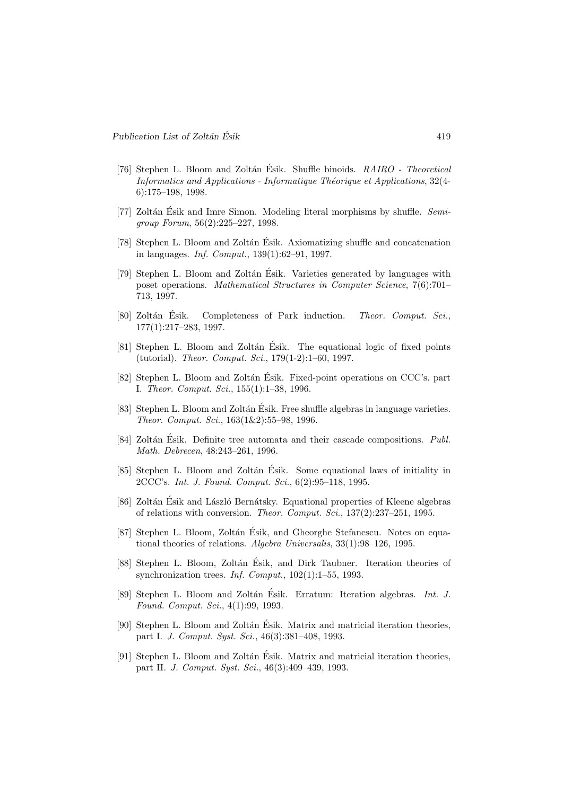- [76] Stephen L. Bloom and Zoltán Ésik. Shuffle binoids.  $RAIRO$  Theoretical Informatics and Applications - Informatique Théorique et Applications,  $32(4-$ 6):175–198, 1998.
- [77] Zoltán Ésik and Imre Simon. Modeling literal morphisms by shuffle.  $Semi$ group Forum, 56(2):225–227, 1998.
- [78] Stephen L. Bloom and Zoltán Ésik. Axiomatizing shuffle and concatenation in languages. Inf. Comput., 139(1):62–91, 1997.
- [79] Stephen L. Bloom and Zoltán Ésik. Varieties generated by languages with poset operations. Mathematical Structures in Computer Science, 7(6):701– 713, 1997.
- [80] Zoltán Ésik. Completeness of Park induction. Theor. Comput. Sci., 177(1):217–283, 1997.
- [81] Stephen L. Bloom and Zoltán Ésik. The equational logic of fixed points (tutorial). Theor. Comput. Sci., 179(1-2):1–60, 1997.
- [82] Stephen L. Bloom and Zoltán Ésik. Fixed-point operations on CCC's. part I. Theor. Comput. Sci., 155(1):1–38, 1996.
- [83] Stephen L. Bloom and Zoltán Ésik. Free shuffle algebras in language varieties. Theor. Comput. Sci., 163(1&2):55–98, 1996.
- [84] Zoltán Ésik. Definite tree automata and their cascade compositions. *Publ.* Math. Debrecen, 48:243–261, 1996.
- [85] Stephen L. Bloom and Zoltán Ésik. Some equational laws of initiality in 2CCC's. Int. J. Found. Comput. Sci., 6(2):95–118, 1995.
- [86] Zoltán Ésik and László Bernátsky. Equational properties of Kleene algebras of relations with conversion. Theor. Comput. Sci., 137(2):237–251, 1995.
- [87] Stephen L. Bloom, Zoltán Ésik, and Gheorghe Stefanescu. Notes on equational theories of relations. Algebra Universalis, 33(1):98–126, 1995.
- [88] Stephen L. Bloom, Zoltán Ésik, and Dirk Taubner. Iteration theories of synchronization trees. Inf. Comput.,  $102(1)$ :1–55, 1993.
- [89] Stephen L. Bloom and Zoltán Ésik. Erratum: Iteration algebras. *Int. J.* Found. Comput. Sci., 4(1):99, 1993.
- [90] Stephen L. Bloom and Zoltán Ésik. Matrix and matricial iteration theories, part I. J. Comput. Syst. Sci., 46(3):381–408, 1993.
- [91] Stephen L. Bloom and Zoltán Ésik. Matrix and matricial iteration theories, part II. J. Comput. Syst. Sci., 46(3):409–439, 1993.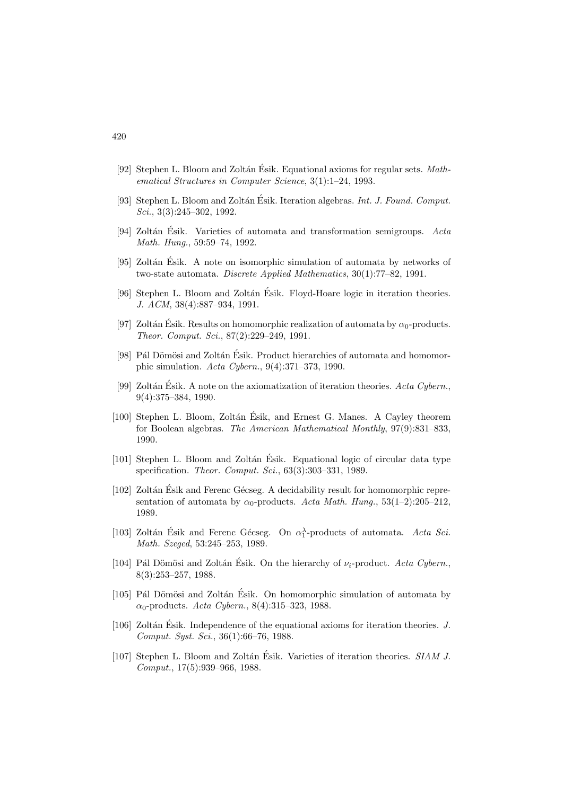- [92] Stephen L. Bloom and Zoltán Ésik. Equational axioms for regular sets.  $Math$ ematical Structures in Computer Science, 3(1):1–24, 1993.
- [93] Stephen L. Bloom and Zoltán Ésik. Iteration algebras. Int. J. Found. Comput. Sci., 3(3):245–302, 1992.
- [94] Zoltán Ésik. Varieties of automata and transformation semigroups.  $Acta$ Math. Hung., 59:59–74, 1992.
- [95] Zoltán Ésik. A note on isomorphic simulation of automata by networks of two-state automata. Discrete Applied Mathematics, 30(1):77–82, 1991.
- [96] Stephen L. Bloom and Zoltán Ésik. Floyd-Hoare logic in iteration theories. J. ACM, 38(4):887–934, 1991.
- [97] Zoltán Ésik. Results on homomorphic realization of automata by  $\alpha_0$ -products. Theor. Comput. Sci., 87(2):229–249, 1991.
- [98] Pál Dömösi and Zoltán Ésik. Product hierarchies of automata and homomorphic simulation. Acta Cybern., 9(4):371–373, 1990.
- [99] Zoltán Ésik. A note on the axiomatization of iteration theories. Acta Cybern., 9(4):375–384, 1990.
- [100] Stephen L. Bloom, Zoltán Ésik, and Ernest G. Manes. A Cayley theorem for Boolean algebras. The American Mathematical Monthly, 97(9):831–833, 1990.
- [101] Stephen L. Bloom and Zoltán Ésik. Equational logic of circular data type specification. *Theor. Comput. Sci.*, 63(3):303-331, 1989.
- [102] Zoltán Ésik and Ferenc Gécseg. A decidability result for homomorphic representation of automata by  $\alpha_0$ -products. Acta Math. Hung., 53(1–2):205–212, 1989.
- [103] Zoltán Ésik and Ferenc Gécseg. On  $\alpha_1^{\lambda}$ -products of automata. Acta Sci. Math. Szeged, 53:245–253, 1989.
- [104] Pál Dömösi and Zoltán Ésik. On the hierarchy of  $\nu_i$ -product. Acta Cybern. 8(3):253–257, 1988.
- $[105]$  Pál Dömösi and Zoltán Ésik. On homomorphic simulation of automata by  $\alpha_0$ -products. Acta Cybern., 8(4):315–323, 1988.
- [106] Zoltán Ésik. Independence of the equational axioms for iteration theories.  $J$ . Comput. Syst. Sci., 36(1):66–76, 1988.
- [107] Stephen L. Bloom and Zoltán Ésik. Varieties of iteration theories. SIAM J. Comput., 17(5):939–966, 1988.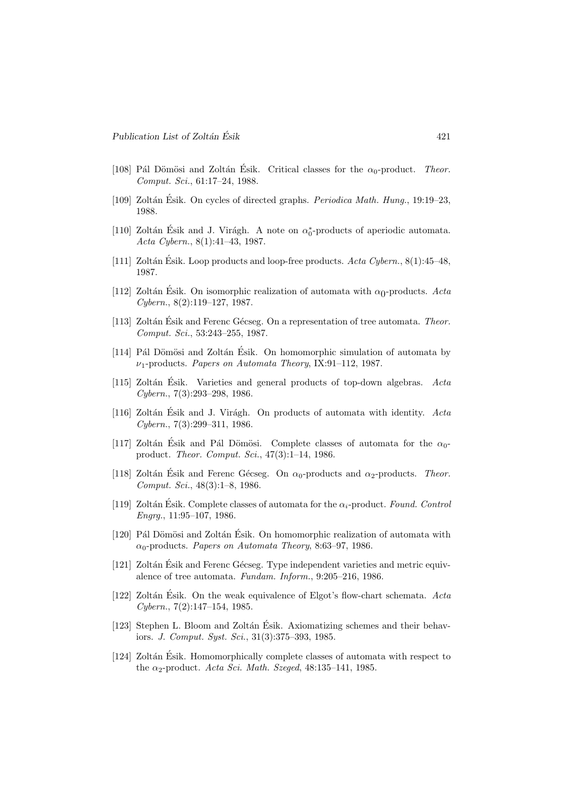- [108] Pál Dömösi and Zoltán Ésik. Critical classes for the  $\alpha_0$ -product. Theor. Comput. Sci., 61:17–24, 1988.
- [109] Zoltán Ésik. On cycles of directed graphs. *Periodica Math. Hung.*, 19:19–23, 1988.
- [110] Zoltán Ésik and J. Virágh. A note on  $\alpha_0^*$ -products of aperiodic automata. Acta Cybern., 8(1):41–43, 1987.
- [111] Zoltán Ésik. Loop products and loop-free products.  $Acta Cybern., 8(1):45-48$ , 1987.
- [112] Zoltán Ésik. On isomorphic realization of automata with  $\alpha_0\text{-products.}$   $Acta$ Cybern., 8(2):119–127, 1987.
- [113] Zoltán Ésik and Ferenc Gécseg. On a representation of tree automata. Theor. Comput. Sci., 53:243–255, 1987.
- [114] Pál Dömösi and Zoltán Ésik. On homomorphic simulation of automata by  $\nu_1$ -products. Papers on Automata Theory, IX:91-112, 1987.
- [115] Zoltán Esik. Varieties and general products of top-down algebras.  $Acta$ Cybern., 7(3):293–298, 1986.
- [116] Zoltán Ésik and J. Virágh. On products of automata with identity.  $Acta$ Cybern., 7(3):299–311, 1986.
- [117] Zoltán Esik and Pál Dömösi. Complete classes of automata for the  $\alpha_0$ product. Theor. Comput. Sci., 47(3):1–14, 1986.
- [118] Zoltán Esik and Ferenc Gécseg. On  $\alpha_0$ -products and  $\alpha_2$ -products. Theor. Comput. Sci., 48(3):1–8, 1986.
- [119] Zoltán Esik. Complete classes of automata for the  $\alpha_i$ -product. Found. Control Engrg., 11:95–107, 1986.
- $[120]$  Pál Dömösi and Zoltán Ésik. On homomorphic realization of automata with  $\alpha_0$ -products. Papers on Automata Theory, 8:63–97, 1986.
- [121] Zoltán Ésik and Ferenc Gécseg. Type independent varieties and metric equivalence of tree automata. Fundam. Inform., 9:205–216, 1986.
- [122] Zoltán Ésik. On the weak equivalence of Elgot's flow-chart schemata.  $Acta$ Cybern., 7(2):147–154, 1985.
- [123] Stephen L. Bloom and Zoltán Ésik. Axiomatizing schemes and their behaviors. J. Comput. Syst. Sci., 31(3):375–393, 1985.
- [124] Zoltán Ésik. Homomorphically complete classes of automata with respect to the  $\alpha_2$ -product. Acta Sci. Math. Szeged, 48:135–141, 1985.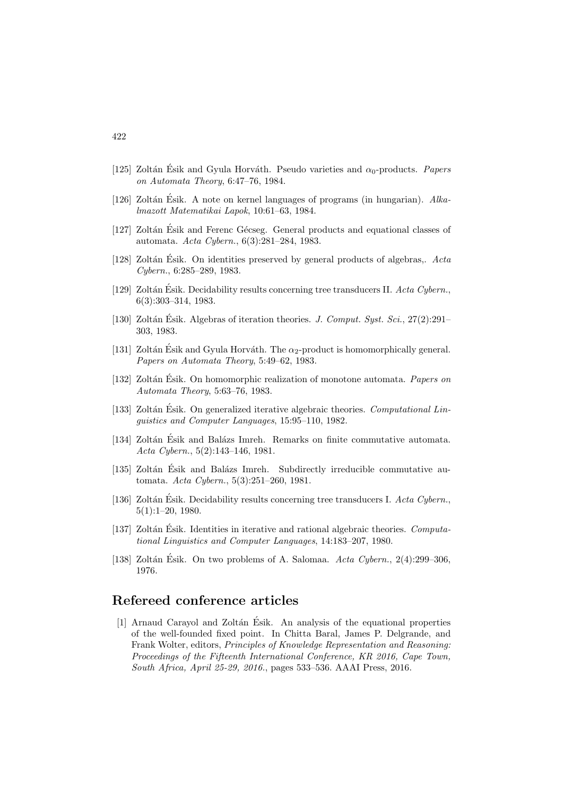- [125] Zoltán Ésik and Gyula Horváth. Pseudo varieties and  $\alpha_0$ -products. Papers on Automata Theory, 6:47–76, 1984.
- [126] Zoltán Ésik. A note on kernel languages of programs (in hungarian).  $Alka$ lmazott Matematikai Lapok, 10:61–63, 1984.
- [127] Zoltán Esik and Ferenc Gécseg. General products and equational classes of automata. Acta Cybern., 6(3):281–284, 1983.
- [128] Zoltán Ésik. On identities preserved by general products of algebras,.  $Acta$ Cybern., 6:285–289, 1983.
- [129] Zoltán Ésik. Decidability results concerning tree transducers II.  $Acta Cybern.$ 6(3):303–314, 1983.
- [130] Zoltán Ésik. Algebras of iteration theories. J. Comput. Syst. Sci.,  $27(2):291-$ 303, 1983.
- [131] Zoltán Ésik and Gyula Horváth. The  $\alpha_2$ -product is homomorphically general. Papers on Automata Theory, 5:49–62, 1983.
- [132] Zoltán Ésik. On homomorphic realization of monotone automata. *Papers on* Automata Theory, 5:63–76, 1983.
- [133] Zoltán Ésik. On generalized iterative algebraic theories. *Computational Lin*guistics and Computer Languages, 15:95–110, 1982.
- [134] Zoltán Ésik and Balázs Imreh. Remarks on finite commutative automata. Acta Cybern., 5(2):143–146, 1981.
- [135] Zoltán Ésik and Balázs Imreh. Subdirectly irreducible commutative automata. Acta Cybern., 5(3):251–260, 1981.
- [136] Zoltán Ésik. Decidability results concerning tree transducers I. Acta Cybern., 5(1):1–20, 1980.
- [137] Zoltán Esik. Identities in iterative and rational algebraic theories. Computational Linguistics and Computer Languages, 14:183–207, 1980.
- [138] Zoltán Esik. On two problems of A. Salomaa.  $Acta$  Cybern., 2(4):299–306, 1976.

### Refereed conference articles

[1] Arnaud Carayol and Zoltán Esik. An analysis of the equational properties of the well-founded fixed point. In Chitta Baral, James P. Delgrande, and Frank Wolter, editors, Principles of Knowledge Representation and Reasoning: Proceedings of the Fifteenth International Conference, KR 2016, Cape Town, South Africa, April 25-29, 2016., pages 533–536. AAAI Press, 2016.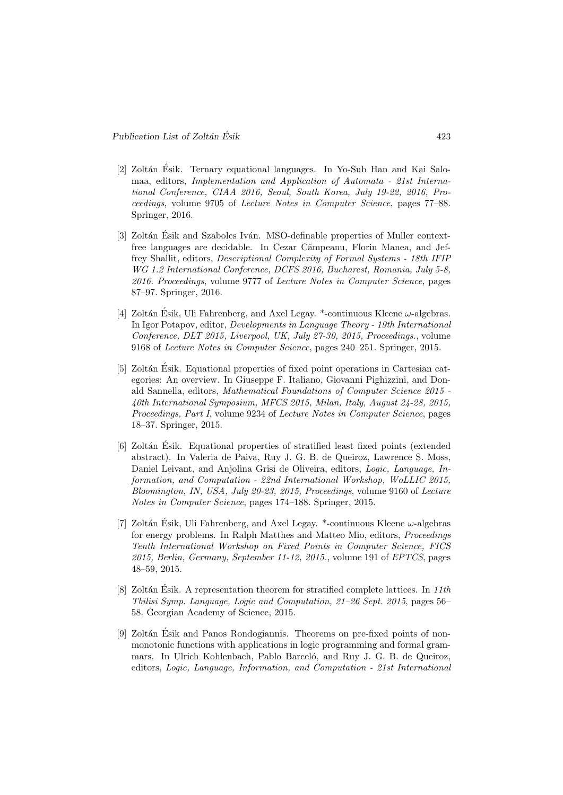- [2] Zoltán Ésik. Ternary equational languages. In Yo-Sub Han and Kai Salomaa, editors, Implementation and Application of Automata - 21st International Conference, CIAA 2016, Seoul, South Korea, July 19-22, 2016, Proceedings, volume 9705 of Lecture Notes in Computer Science, pages 77–88. Springer, 2016.
- [3] Zoltán Ésik and Szabolcs Iván. MSO-definable properties of Muller contextfree languages are decidable. In Cezar Câmpeanu, Florin Manea, and Jeffrey Shallit, editors, Descriptional Complexity of Formal Systems - 18th IFIP WG 1.2 International Conference, DCFS 2016, Bucharest, Romania, July 5-8, 2016. Proceedings, volume 9777 of Lecture Notes in Computer Science, pages 87–97. Springer, 2016.
- [4] Zoltán Ésik, Uli Fahrenberg, and Axel Legay. \*-continuous Kleene  $\omega$ -algebras. In Igor Potapov, editor, Developments in Language Theory - 19th International Conference, DLT 2015, Liverpool, UK, July 27-30, 2015, Proceedings., volume 9168 of Lecture Notes in Computer Science, pages 240–251. Springer, 2015.
- [5] Zoltán Ésik. Equational properties of fixed point operations in Cartesian categories: An overview. In Giuseppe F. Italiano, Giovanni Pighizzini, and Donald Sannella, editors, Mathematical Foundations of Computer Science 2015 - 40th International Symposium, MFCS 2015, Milan, Italy, August 24-28, 2015, Proceedings, Part I, volume 9234 of Lecture Notes in Computer Science, pages 18–37. Springer, 2015.
- [6] Zoltán Ésik. Equational properties of stratified least fixed points (extended abstract). In Valeria de Paiva, Ruy J. G. B. de Queiroz, Lawrence S. Moss, Daniel Leivant, and Anjolina Grisi de Oliveira, editors, Logic, Language, Information, and Computation - 22nd International Workshop, WoLLIC 2015, Bloomington, IN, USA, July 20-23, 2015, Proceedings, volume 9160 of Lecture Notes in Computer Science, pages 174–188. Springer, 2015.
- [7] Zoltán Ésik, Uli Fahrenberg, and Axel Legay. \*-continuous Kleene  $\omega$ -algebras for energy problems. In Ralph Matthes and Matteo Mio, editors, Proceedings Tenth International Workshop on Fixed Points in Computer Science, FICS 2015, Berlin, Germany, September 11-12, 2015., volume 191 of EPTCS, pages 48–59, 2015.
- [8] Zoltán Ésik. A representation theorem for stratified complete lattices. In  $11th$ Tbilisi Symp. Language, Logic and Computation, 21–26 Sept. 2015, pages 56– 58. Georgian Academy of Science, 2015.
- [9] Zoltán Ésik and Panos Rondogiannis. Theorems on pre-fixed points of nonmonotonic functions with applications in logic programming and formal grammars. In Ulrich Kohlenbach, Pablo Barceló, and Ruy J. G. B. de Queiroz, editors, Logic, Language, Information, and Computation - 21st International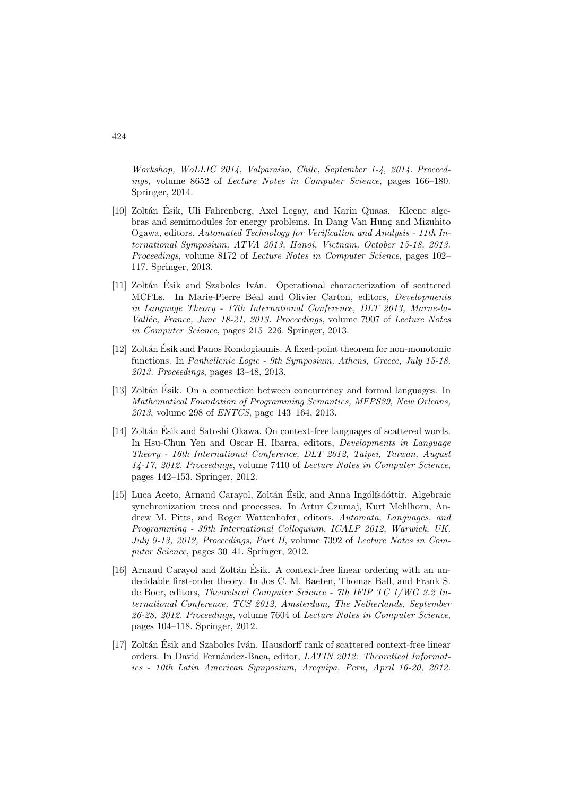Workshop, WoLLIC 2014, Valparaíso, Chile, September 1-4, 2014. Proceedings, volume 8652 of Lecture Notes in Computer Science, pages 166–180. Springer, 2014.

- [10] Zoltán Ésik, Uli Fahrenberg, Axel Legay, and Karin Quaas. Kleene algebras and semimodules for energy problems. In Dang Van Hung and Mizuhito Ogawa, editors, Automated Technology for Verification and Analysis - 11th International Symposium, ATVA 2013, Hanoi, Vietnam, October 15-18, 2013. Proceedings, volume 8172 of Lecture Notes in Computer Science, pages 102– 117. Springer, 2013.
- [11] Zoltán Ésik and Szabolcs Iván. Operational characterization of scattered MCFLs. In Marie-Pierre Béal and Olivier Carton, editors, *Developments* in Language Theory - 17th International Conference, DLT 2013, Marne-la-Vallée, France, June 18-21, 2013. Proceedings, volume 7907 of Lecture Notes in Computer Science, pages 215–226. Springer, 2013.
- [12] Zoltán Ésik and Panos Rondogiannis. A fixed-point theorem for non-monotonic functions. In Panhellenic Logic - 9th Symposium, Athens, Greece, July 15-18, 2013. Proceedings, pages 43–48, 2013.
- [13] Zoltán Ésik. On a connection between concurrency and formal languages. In Mathematical Foundation of Programming Semantics, MFPS29, New Orleans, 2013, volume 298 of ENTCS, page 143–164, 2013.
- [14] Zoltán Esik and Satoshi Okawa. On context-free languages of scattered words. In Hsu-Chun Yen and Oscar H. Ibarra, editors, Developments in Language Theory - 16th International Conference, DLT 2012, Taipei, Taiwan, August 14-17, 2012. Proceedings, volume 7410 of Lecture Notes in Computer Science, pages 142–153. Springer, 2012.
- [15] Luca Aceto, Arnaud Carayol, Zoltán Ésik, and Anna Ingólfsdóttir. Algebraic synchronization trees and processes. In Artur Czumaj, Kurt Mehlhorn, Andrew M. Pitts, and Roger Wattenhofer, editors, Automata, Languages, and Programming - 39th International Colloquium, ICALP 2012, Warwick, UK, July 9-13, 2012, Proceedings, Part II, volume 7392 of Lecture Notes in Computer Science, pages 30–41. Springer, 2012.
- [16] Arnaud Carayol and Zoltán Esik. A context-free linear ordering with an undecidable first-order theory. In Jos C. M. Baeten, Thomas Ball, and Frank S. de Boer, editors, Theoretical Computer Science - 7th IFIP TC 1/WG 2.2 International Conference, TCS 2012, Amsterdam, The Netherlands, September 26-28, 2012. Proceedings, volume 7604 of Lecture Notes in Computer Science, pages 104–118. Springer, 2012.
- [17] Zoltán Ésik and Szabolcs Iván. Hausdorff rank of scattered context-free linear orders. In David Fernández-Baca, editor, LATIN 2012: Theoretical Informatics - 10th Latin American Symposium, Arequipa, Peru, April 16-20, 2012.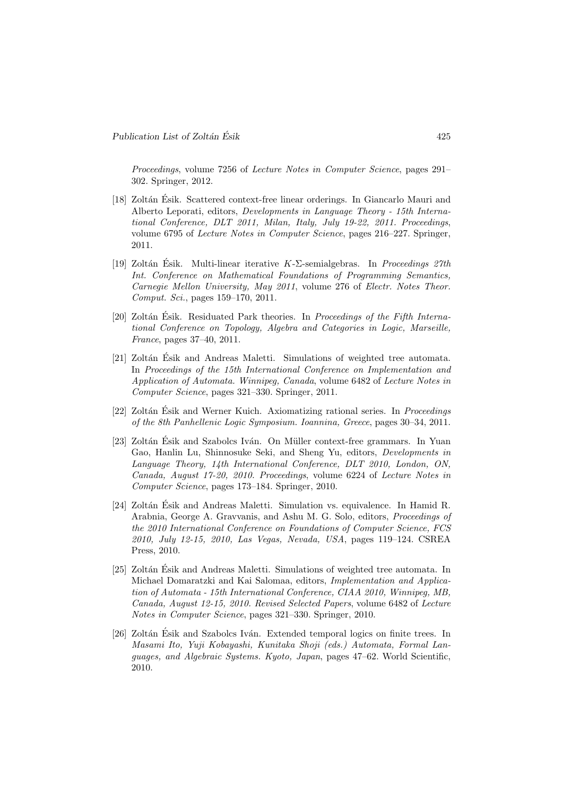Proceedings, volume 7256 of Lecture Notes in Computer Science, pages 291– 302. Springer, 2012.

- [18] Zoltán Ésik. Scattered context-free linear orderings. In Giancarlo Mauri and Alberto Leporati, editors, Developments in Language Theory - 15th International Conference, DLT 2011, Milan, Italy, July 19-22, 2011. Proceedings, volume 6795 of Lecture Notes in Computer Science, pages 216–227. Springer, 2011.
- [19] Zoltán Ésik. Multi-linear iterative  $K$ - $\Sigma$ -semialgebras. In *Proceedings 27th* Int. Conference on Mathematical Foundations of Programming Semantics, Carnegie Mellon University, May 2011, volume 276 of Electr. Notes Theor. Comput. Sci., pages 159–170, 2011.
- [20] Zoltán Ésik. Residuated Park theories. In *Proceedings of the Fifth Interna*tional Conference on Topology, Algebra and Categories in Logic, Marseille, France, pages 37–40, 2011.
- [21] Zoltán Ésik and Andreas Maletti. Simulations of weighted tree automata. In Proceedings of the 15th International Conference on Implementation and Application of Automata. Winnipeg, Canada, volume 6482 of Lecture Notes in Computer Science, pages 321–330. Springer, 2011.
- [22] Zoltán Ésik and Werner Kuich. Axiomatizing rational series. In *Proceedings* of the 8th Panhellenic Logic Symposium. Ioannina, Greece, pages 30–34, 2011.
- [23] Zoltán Ésik and Szabolcs Iván. On Müller context-free grammars. In Yuan Gao, Hanlin Lu, Shinnosuke Seki, and Sheng Yu, editors, Developments in Language Theory, 14th International Conference, DLT 2010, London, ON, Canada, August 17-20, 2010. Proceedings, volume 6224 of Lecture Notes in Computer Science, pages 173–184. Springer, 2010.
- [24] Zoltán Ésik and Andreas Maletti. Simulation vs. equivalence. In Hamid R. Arabnia, George A. Gravvanis, and Ashu M. G. Solo, editors, Proceedings of the 2010 International Conference on Foundations of Computer Science, FCS 2010, July 12-15, 2010, Las Vegas, Nevada, USA, pages 119–124. CSREA Press, 2010.
- [25] Zoltán Ésik and Andreas Maletti. Simulations of weighted tree automata. In Michael Domaratzki and Kai Salomaa, editors, Implementation and Application of Automata - 15th International Conference, CIAA 2010, Winnipeg, MB, Canada, August 12-15, 2010. Revised Selected Papers, volume 6482 of Lecture Notes in Computer Science, pages 321–330. Springer, 2010.
- [26] Zoltán Ésik and Szabolcs Iván. Extended temporal logics on finite trees. In Masami Ito, Yuji Kobayashi, Kunitaka Shoji (eds.) Automata, Formal Languages, and Algebraic Systems. Kyoto, Japan, pages 47–62. World Scientific, 2010.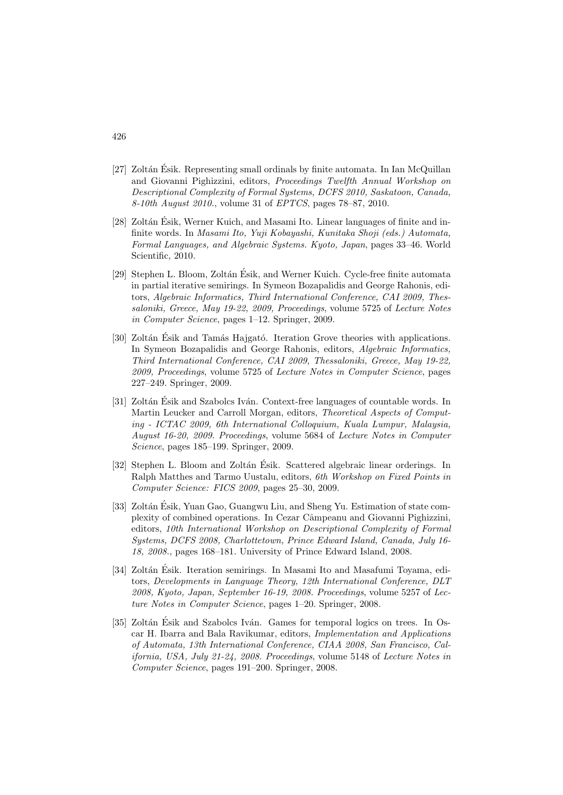- [27] Zoltán Ésik. Representing small ordinals by finite automata. In Ian McQuillan and Giovanni Pighizzini, editors, Proceedings Twelfth Annual Workshop on Descriptional Complexity of Formal Systems, DCFS 2010, Saskatoon, Canada, 8-10th August 2010., volume 31 of EPTCS, pages 78–87, 2010.
- [28] Zoltán Ésik, Werner Kuich, and Masami Ito. Linear languages of finite and infinite words. In Masami Ito, Yuji Kobayashi, Kunitaka Shoji (eds.) Automata, Formal Languages, and Algebraic Systems. Kyoto, Japan, pages 33–46. World Scientific, 2010.
- [29] Stephen L. Bloom, Zoltán Ésik, and Werner Kuich. Cycle-free finite automata in partial iterative semirings. In Symeon Bozapalidis and George Rahonis, editors, Algebraic Informatics, Third International Conference, CAI 2009, Thessaloniki, Greece, May 19-22, 2009, Proceedings, volume 5725 of Lecture Notes in Computer Science, pages 1–12. Springer, 2009.
- [30] Zoltán Ésik and Tamás Hajgató. Iteration Grove theories with applications. In Symeon Bozapalidis and George Rahonis, editors, Algebraic Informatics, Third International Conference, CAI 2009, Thessaloniki, Greece, May 19-22, 2009, Proceedings, volume 5725 of Lecture Notes in Computer Science, pages 227–249. Springer, 2009.
- [31] Zoltán Ésik and Szabolcs Iván. Context-free languages of countable words. In Martin Leucker and Carroll Morgan, editors, Theoretical Aspects of Computing - ICTAC 2009, 6th International Colloquium, Kuala Lumpur, Malaysia, August 16-20, 2009. Proceedings, volume 5684 of Lecture Notes in Computer Science, pages 185–199. Springer, 2009.
- [32] Stephen L. Bloom and Zoltán Ésik. Scattered algebraic linear orderings. In Ralph Matthes and Tarmo Uustalu, editors, 6th Workshop on Fixed Points in Computer Science: FICS 2009, pages 25–30, 2009.
- [33] Zoltán Ésik, Yuan Gao, Guangwu Liu, and Sheng Yu. Estimation of state complexity of combined operations. In Cezar Câmpeanu and Giovanni Pighizzini, editors, 10th International Workshop on Descriptional Complexity of Formal Systems, DCFS 2008, Charlottetown, Prince Edward Island, Canada, July 16- 18, 2008., pages 168–181. University of Prince Edward Island, 2008.
- [34] Zoltán Ésik. Iteration semirings. In Masami Ito and Masafumi Toyama, editors, Developments in Language Theory, 12th International Conference, DLT 2008, Kyoto, Japan, September 16-19, 2008. Proceedings, volume 5257 of Lecture Notes in Computer Science, pages 1–20. Springer, 2008.
- [35] Zoltán Esik and Szabolcs Iván. Games for temporal logics on trees. In Oscar H. Ibarra and Bala Ravikumar, editors, Implementation and Applications of Automata, 13th International Conference, CIAA 2008, San Francisco, California, USA, July 21-24, 2008. Proceedings, volume 5148 of Lecture Notes in Computer Science, pages 191–200. Springer, 2008.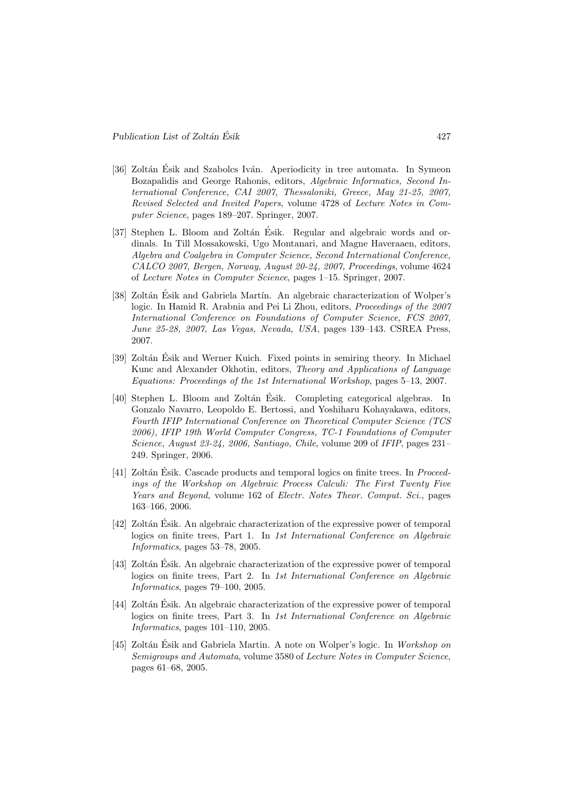- [36] Zoltán Ésik and Szabolcs Iván. Aperiodicity in tree automata. In Symeon Bozapalidis and George Rahonis, editors, Algebraic Informatics, Second International Conference, CAI 2007, Thessaloniki, Greece, May 21-25, 2007, Revised Selected and Invited Papers, volume 4728 of Lecture Notes in Computer Science, pages 189–207. Springer, 2007.
- [37] Stephen L. Bloom and Zoltán Ésik. Regular and algebraic words and ordinals. In Till Mossakowski, Ugo Montanari, and Magne Haveraaen, editors, Algebra and Coalgebra in Computer Science, Second International Conference, CALCO 2007, Bergen, Norway, August 20-24, 2007, Proceedings, volume 4624 of Lecture Notes in Computer Science, pages 1–15. Springer, 2007.
- [38] Zoltán Ésik and Gabriela Martín. An algebraic characterization of Wolper's logic. In Hamid R. Arabnia and Pei Li Zhou, editors, Proceedings of the 2007 International Conference on Foundations of Computer Science, FCS 2007, June 25-28, 2007, Las Vegas, Nevada, USA, pages 139–143. CSREA Press, 2007.
- [39] Zoltán Ésik and Werner Kuich. Fixed points in semiring theory. In Michael Kunc and Alexander Okhotin, editors, Theory and Applications of Language Equations: Proceedings of the 1st International Workshop, pages 5–13, 2007.
- [40] Stephen L. Bloom and Zoltán Ésik. Completing categorical algebras. In Gonzalo Navarro, Leopoldo E. Bertossi, and Yoshiharu Kohayakawa, editors, Fourth IFIP International Conference on Theoretical Computer Science (TCS 2006), IFIP 19th World Computer Congress, TC-1 Foundations of Computer Science, August 23-24, 2006, Santiago, Chile, volume 209 of IFIP, pages 231– 249. Springer, 2006.
- [41] Zoltán Ésik. Cascade products and temporal logics on finite trees. In *Proceed*ings of the Workshop on Algebraic Process Calculi: The First Twenty Five Years and Beyond, volume 162 of Electr. Notes Theor. Comput. Sci., pages 163–166, 2006.
- [42] Zoltán Esik. An algebraic characterization of the expressive power of temporal logics on finite trees, Part 1. In 1st International Conference on Algebraic Informatics, pages 53–78, 2005.
- [43] Zoltán Ésik. An algebraic characterization of the expressive power of temporal logics on finite trees, Part 2. In 1st International Conference on Algebraic Informatics, pages 79–100, 2005.
- [44] Zoltán Ésik. An algebraic characterization of the expressive power of temporal logics on finite trees, Part 3. In 1st International Conference on Algebraic Informatics, pages 101–110, 2005.
- [45] Zoltán Ésik and Gabriela Martin. A note on Wolper's logic. In Workshop on Semigroups and Automata, volume 3580 of Lecture Notes in Computer Science, pages 61–68, 2005.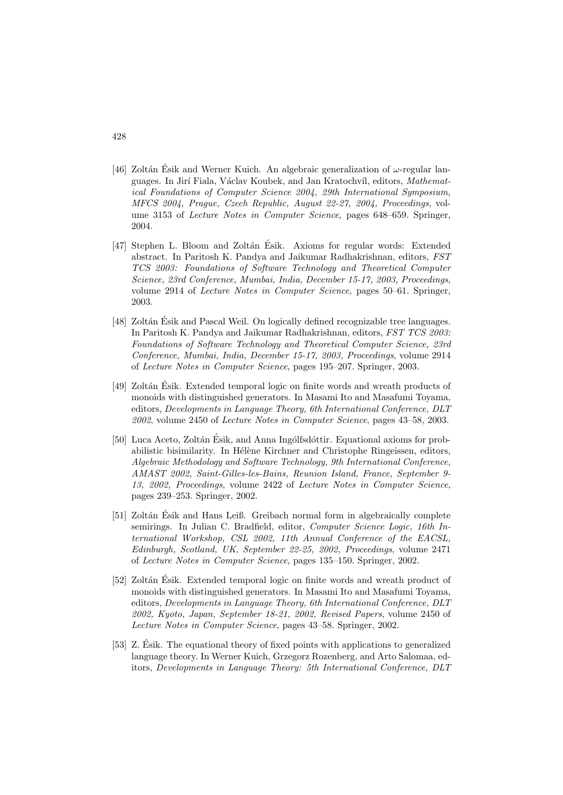- [46] Zoltán Ésik and Werner Kuich. An algebraic generalization of  $\omega$ -regular languages. In Jirí Fiala, Václav Koubek, and Jan Kratochvíl, editors, Mathematical Foundations of Computer Science 2004, 29th International Symposium, MFCS 2004, Prague, Czech Republic, August 22-27, 2004, Proceedings, volume 3153 of Lecture Notes in Computer Science, pages 648–659. Springer, 2004.
- [47] Stephen L. Bloom and Zoltán Ésik. Axioms for regular words: Extended abstract. In Paritosh K. Pandya and Jaikumar Radhakrishnan, editors, FST TCS 2003: Foundations of Software Technology and Theoretical Computer Science, 23rd Conference, Mumbai, India, December 15-17, 2003, Proceedings, volume 2914 of Lecture Notes in Computer Science, pages 50–61. Springer, 2003.
- [48] Zoltán Esik and Pascal Weil. On logically defined recognizable tree languages. In Paritosh K. Pandya and Jaikumar Radhakrishnan, editors, FST TCS 2003: Foundations of Software Technology and Theoretical Computer Science, 23rd Conference, Mumbai, India, December 15-17, 2003, Proceedings, volume 2914 of Lecture Notes in Computer Science, pages 195–207. Springer, 2003.
- [49] Zoltán Ésik. Extended temporal logic on finite words and wreath products of monoids with distinguished generators. In Masami Ito and Masafumi Toyama, editors, Developments in Language Theory, 6th International Conference, DLT 2002, volume 2450 of Lecture Notes in Computer Science, pages 43–58, 2003.
- [50] Luca Aceto, Zoltán Ésik, and Anna Ingólfsdóttir. Equational axioms for probabilistic bisimilarity. In Hélène Kirchner and Christophe Ringeissen, editors, Algebraic Methodology and Software Technology, 9th International Conference, AMAST 2002, Saint-Gilles-les-Bains, Reunion Island, France, September 9- 13, 2002, Proceedings, volume 2422 of Lecture Notes in Computer Science, pages 239–253. Springer, 2002.
- [51] Zoltán Ésik and Hans Leiß. Greibach normal form in algebraically complete semirings. In Julian C. Bradfield, editor, Computer Science Logic, 16th International Workshop, CSL 2002, 11th Annual Conference of the EACSL, Edinburgh, Scotland, UK, September 22-25, 2002, Proceedings, volume 2471 of Lecture Notes in Computer Science, pages 135–150. Springer, 2002.
- [52] Zoltán Esik. Extended temporal logic on finite words and wreath product of monoids with distinguished generators. In Masami Ito and Masafumi Toyama, editors, Developments in Language Theory, 6th International Conference, DLT 2002, Kyoto, Japan, September 18-21, 2002, Revised Papers, volume 2450 of Lecture Notes in Computer Science, pages 43–58. Springer, 2002.
- [53] Z. Ésik. The equational theory of fixed points with applications to generalized language theory. In Werner Kuich, Grzegorz Rozenberg, and Arto Salomaa, editors, Developments in Language Theory: 5th International Conference, DLT

428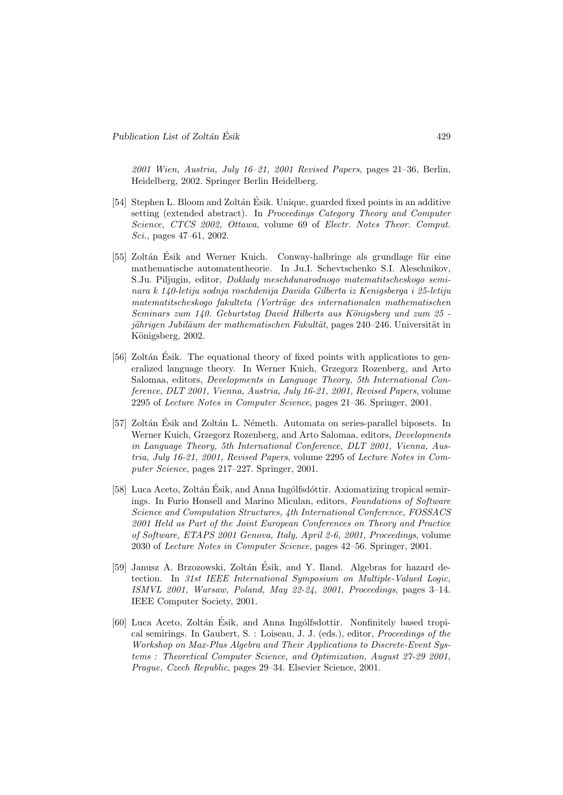2001 Wien, Austria, July 16–21, 2001 Revised Papers, pages 21–36, Berlin, Heidelberg, 2002. Springer Berlin Heidelberg.

- [54] Stephen L. Bloom and Zoltán Ésik. Unique, guarded fixed points in an additive setting (extended abstract). In Proceedings Category Theory and Computer Science, CTCS 2002, Ottawa, volume 69 of Electr. Notes Theor. Comput. Sci., pages 47–61, 2002.
- [55] Zoltán Ésik and Werner Kuich. Conway-halbringe als grundlage für eine mathematische automatentheorie. In Ju.I. Schevtschenko S.I. Aleschnikov, S.Ju. Piljugin, editor, Doklady meschdunarodnogo matematitscheskogo seminara k 140-letiju sodnja roschdenija Davida Gilberta iz Kenigsberga i 25-letiju matematitscheskogo fakulteta (Vorträge des internationalen mathematischen  $Seminaryzum 140. Geburtstag David Hilberts aus Königsberg und zum 25$ jährigen Jubiläum der mathematischen Fakultät, pages 240–246. Universität in Königsberg, 2002.
- [56] Zoltán Ésik. The equational theory of fixed points with applications to generalized language theory. In Werner Kuich, Grzegorz Rozenberg, and Arto Salomaa, editors, Developments in Language Theory, 5th International Conference, DLT 2001, Vienna, Austria, July 16-21, 2001, Revised Papers, volume 2295 of Lecture Notes in Computer Science, pages 21–36. Springer, 2001.
- [57] Zoltán Ésik and Zoltán L. Németh. Automata on series-parallel biposets. In Werner Kuich, Grzegorz Rozenberg, and Arto Salomaa, editors, Developments in Language Theory, 5th International Conference, DLT 2001, Vienna, Austria, July 16-21, 2001, Revised Papers, volume 2295 of Lecture Notes in Computer Science, pages 217–227. Springer, 2001.
- [58] Luca Aceto, Zoltán Ésik, and Anna Ingólfsdóttir. Axiomatizing tropical semirings. In Furio Honsell and Marino Miculan, editors, Foundations of Software Science and Computation Structures, 4th International Conference, FOSSACS 2001 Held as Part of the Joint European Conferences on Theory and Practice of Software, ETAPS 2001 Genova, Italy, April 2-6, 2001, Proceedings, volume 2030 of Lecture Notes in Computer Science, pages 42–56. Springer, 2001.
- [59] Janusz A. Brzozowski, Zoltán Ésik, and Y. Iland. Algebras for hazard detection. In 31st IEEE International Symposium on Multiple-Valued Logic, ISMVL 2001, Warsaw, Poland, May 22-24, 2001, Proceedings, pages 3–14. IEEE Computer Society, 2001.
- [60] Luca Aceto, Zoltán Esik, and Anna Ingólfsdottir. Nonfinitely based tropical semirings. In Gaubert, S. : Loiseau, J. J. (eds.), editor, Proceedings of the Workshop on Max-Plus Algebra and Their Applications to Discrete-Event Systems : Theoretical Computer Science, and Optimization, August 27-29 2001, Prague, Czech Republic, pages 29–34. Elsevier Science, 2001.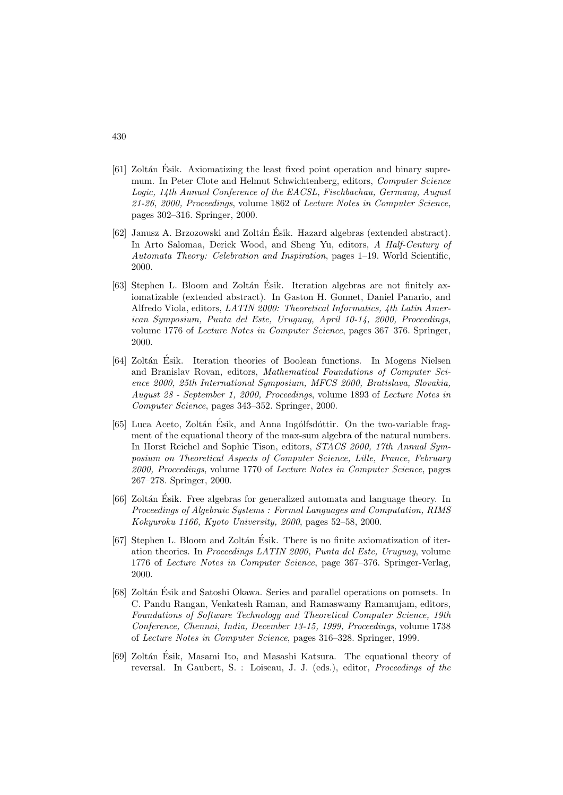- $[61]$  Zoltán Ésik. Axiomatizing the least fixed point operation and binary supremum. In Peter Clote and Helmut Schwichtenberg, editors, Computer Science Logic, 14th Annual Conference of the EACSL, Fischbachau, Germany, August 21-26, 2000, Proceedings, volume 1862 of Lecture Notes in Computer Science, pages 302–316. Springer, 2000.
- [62] Janusz A. Brzozowski and Zoltán Ésik. Hazard algebras (extended abstract). In Arto Salomaa, Derick Wood, and Sheng Yu, editors, A Half-Century of Automata Theory: Celebration and Inspiration, pages 1–19. World Scientific, 2000.
- [63] Stephen L. Bloom and Zoltán Ésik. Iteration algebras are not finitely axiomatizable (extended abstract). In Gaston H. Gonnet, Daniel Panario, and Alfredo Viola, editors, LATIN 2000: Theoretical Informatics, 4th Latin American Symposium, Punta del Este, Uruguay, April 10-14, 2000, Proceedings, volume 1776 of Lecture Notes in Computer Science, pages 367–376. Springer, 2000.
- [64] Zoltán Ésik. Iteration theories of Boolean functions. In Mogens Nielsen and Branislav Rovan, editors, Mathematical Foundations of Computer Science 2000, 25th International Symposium, MFCS 2000, Bratislava, Slovakia, August 28 - September 1, 2000, Proceedings, volume 1893 of Lecture Notes in Computer Science, pages 343–352. Springer, 2000.
- [65] Luca Aceto, Zoltán Ésik, and Anna Ingólfsdóttir. On the two-variable fragment of the equational theory of the max-sum algebra of the natural numbers. In Horst Reichel and Sophie Tison, editors, STACS 2000, 17th Annual Symposium on Theoretical Aspects of Computer Science, Lille, France, February 2000, Proceedings, volume 1770 of Lecture Notes in Computer Science, pages 267–278. Springer, 2000.
- [66] Zoltán Ésik. Free algebras for generalized automata and language theory. In Proceedings of Algebraic Systems : Formal Languages and Computation, RIMS Kokyuroku 1166, Kyoto University, 2000, pages 52–58, 2000.
- [67] Stephen L. Bloom and Zoltán Ésik. There is no finite axiomatization of iteration theories. In Proceedings LATIN 2000, Punta del Este, Uruguay, volume 1776 of Lecture Notes in Computer Science, page 367–376. Springer-Verlag, 2000.
- [68] Zoltán Ésik and Satoshi Okawa. Series and parallel operations on pomsets. In C. Pandu Rangan, Venkatesh Raman, and Ramaswamy Ramanujam, editors, Foundations of Software Technology and Theoretical Computer Science, 19th Conference, Chennai, India, December 13-15, 1999, Proceedings, volume 1738 of Lecture Notes in Computer Science, pages 316–328. Springer, 1999.
- [69] Zoltán Ésik, Masami Ito, and Masashi Katsura. The equational theory of reversal. In Gaubert, S. : Loiseau, J. J. (eds.), editor, Proceedings of the

#### 430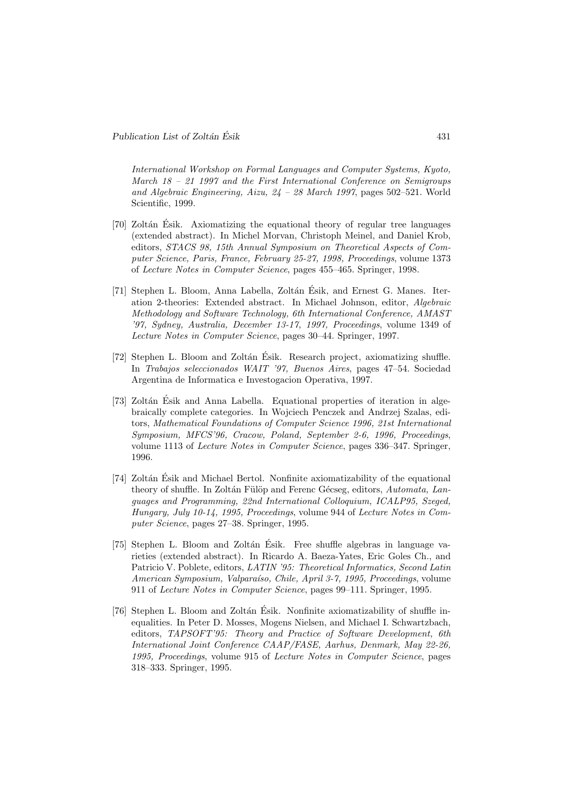International Workshop on Formal Languages and Computer Systems, Kyoto, March 18 – 21 1997 and the First International Conference on Semigroups and Algebraic Engineering, Aizu, 24 – 28 March 1997, pages 502–521. World Scientific, 1999.

- [70] Zoltán Esik. Axiomatizing the equational theory of regular tree languages (extended abstract). In Michel Morvan, Christoph Meinel, and Daniel Krob, editors, STACS 98, 15th Annual Symposium on Theoretical Aspects of Computer Science, Paris, France, February 25-27, 1998, Proceedings, volume 1373 of Lecture Notes in Computer Science, pages 455–465. Springer, 1998.
- [71] Stephen L. Bloom, Anna Labella, Zoltán Ésik, and Ernest G. Manes. Iteration 2-theories: Extended abstract. In Michael Johnson, editor, Algebraic Methodology and Software Technology, 6th International Conference, AMAST '97, Sydney, Australia, December 13-17, 1997, Proceedings, volume 1349 of Lecture Notes in Computer Science, pages 30–44. Springer, 1997.
- [72] Stephen L. Bloom and Zoltán Ésik. Research project, axiomatizing shuffle. In Trabajos seleccionados WAIT '97, Buenos Aires, pages 47–54. Sociedad Argentina de Informatica e Investogacion Operativa, 1997.
- [73] Zoltán Ésik and Anna Labella. Equational properties of iteration in algebraically complete categories. In Wojciech Penczek and Andrzej Szalas, editors, Mathematical Foundations of Computer Science 1996, 21st International Symposium, MFCS'96, Cracow, Poland, September 2-6, 1996, Proceedings, volume 1113 of Lecture Notes in Computer Science, pages 336–347. Springer, 1996.
- [74] Zoltán Ésik and Michael Bertol. Nonfinite axiomatizability of the equational theory of shuffle. In Zoltán Fülöp and Ferenc Gécseg, editors, Automata, Languages and Programming, 22nd International Colloquium, ICALP95, Szeged, Hungary, July 10-14, 1995, Proceedings, volume 944 of Lecture Notes in Computer Science, pages 27–38. Springer, 1995.
- [75] Stephen L. Bloom and Zoltán Ésik. Free shuffle algebras in language varieties (extended abstract). In Ricardo A. Baeza-Yates, Eric Goles Ch., and Patricio V. Poblete, editors, LATIN '95: Theoretical Informatics, Second Latin American Symposium, Valparaíso, Chile, April 3-7, 1995, Proceedings, volume 911 of Lecture Notes in Computer Science, pages 99–111. Springer, 1995.
- [76] Stephen L. Bloom and Zolt´an Esik. Nonfinite axiomatizability of shuffle in- ´ equalities. In Peter D. Mosses, Mogens Nielsen, and Michael I. Schwartzbach, editors, TAPSOFT'95: Theory and Practice of Software Development, 6th International Joint Conference CAAP/FASE, Aarhus, Denmark, May 22-26, 1995, Proceedings, volume 915 of Lecture Notes in Computer Science, pages 318–333. Springer, 1995.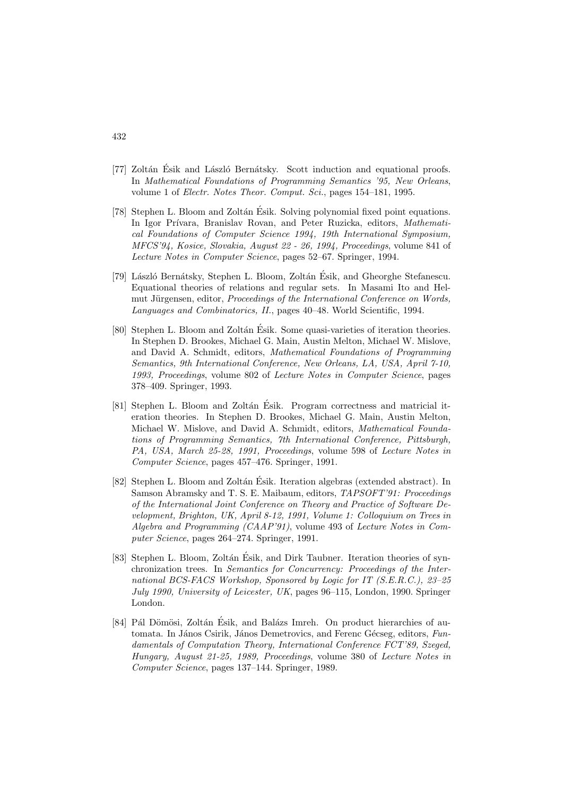- [77] Zoltán Ésik and László Bernátsky. Scott induction and equational proofs. In Mathematical Foundations of Programming Semantics '95, New Orleans, volume 1 of Electr. Notes Theor. Comput. Sci., pages 154–181, 1995.
- [78] Stephen L. Bloom and Zoltán Ésik. Solving polynomial fixed point equations. In Igor Prívara, Branislav Rovan, and Peter Ruzicka, editors, Mathematical Foundations of Computer Science 1994, 19th International Symposium, MFCS'94, Kosice, Slovakia, August 22 - 26, 1994, Proceedings, volume 841 of Lecture Notes in Computer Science, pages 52–67. Springer, 1994.
- [79] László Bernátsky, Stephen L. Bloom, Zoltán Ésik, and Gheorghe Stefanescu. Equational theories of relations and regular sets. In Masami Ito and Helmut Jürgensen, editor, *Proceedings of the International Conference on Words*, Languages and Combinatorics, II., pages 40–48. World Scientific, 1994.
- [80] Stephen L. Bloom and Zoltán Ésik. Some quasi-varieties of iteration theories. In Stephen D. Brookes, Michael G. Main, Austin Melton, Michael W. Mislove, and David A. Schmidt, editors, Mathematical Foundations of Programming Semantics, 9th International Conference, New Orleans, LA, USA, April 7-10, 1993, Proceedings, volume 802 of Lecture Notes in Computer Science, pages 378–409. Springer, 1993.
- [81] Stephen L. Bloom and Zoltán Ésik. Program correctness and matricial iteration theories. In Stephen D. Brookes, Michael G. Main, Austin Melton, Michael W. Mislove, and David A. Schmidt, editors, Mathematical Foundations of Programming Semantics, 7th International Conference, Pittsburgh, PA, USA, March 25-28, 1991, Proceedings, volume 598 of Lecture Notes in Computer Science, pages 457–476. Springer, 1991.
- [82] Stephen L. Bloom and Zoltán Ésik. Iteration algebras (extended abstract). In Samson Abramsky and T. S. E. Maibaum, editors, TAPSOFT'91: Proceedings of the International Joint Conference on Theory and Practice of Software Development, Brighton, UK, April 8-12, 1991, Volume 1: Colloquium on Trees in Algebra and Programming (CAAP'91), volume 493 of Lecture Notes in Computer Science, pages 264–274. Springer, 1991.
- [83] Stephen L. Bloom, Zoltán Ésik, and Dirk Taubner. Iteration theories of synchronization trees. In Semantics for Concurrency: Proceedings of the International BCS-FACS Workshop, Sponsored by Logic for IT (S.E.R.C.), 23–25 July 1990, University of Leicester, UK, pages 96–115, London, 1990. Springer London.
- [84] Pál Dömösi, Zoltán Ésik, and Balázs Imreh. On product hierarchies of automata. In János Csirik, János Demetrovics, and Ferenc Gécseg, editors, Fundamentals of Computation Theory, International Conference FCT'89, Szeged, Hungary, August 21-25, 1989, Proceedings, volume 380 of Lecture Notes in Computer Science, pages 137–144. Springer, 1989.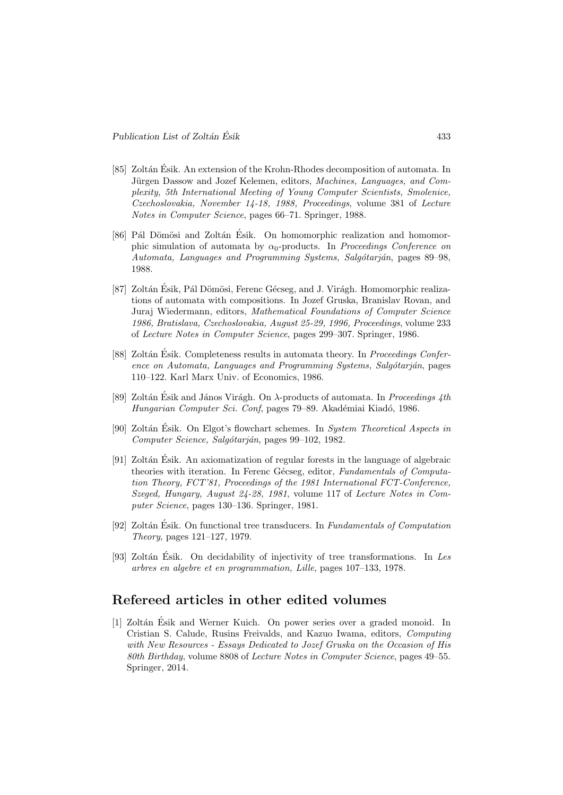- [85] Zoltán Ésik. An extension of the Krohn-Rhodes decomposition of automata. In Jürgen Dassow and Jozef Kelemen, editors, Machines, Languages, and Complexity, 5th International Meeting of Young Computer Scientists, Smolenice, Czechoslovakia, November 14-18, 1988, Proceedings, volume 381 of Lecture Notes in Computer Science, pages 66–71. Springer, 1988.
- [86] Pál Dömösi and Zoltán Ésik. On homomorphic realization and homomorphic simulation of automata by  $\alpha_0$ -products. In *Proceedings Conference on* Automata, Languages and Programming Systems, Salgótarján, pages 89–98, 1988.
- [87] Zoltán Ésik, Pál Dömösi, Ferenc Gécseg, and J. Virágh. Homomorphic realizations of automata with compositions. In Jozef Gruska, Branislav Rovan, and Juraj Wiedermann, editors, Mathematical Foundations of Computer Science 1986, Bratislava, Czechoslovakia, August 25-29, 1996, Proceedings, volume 233 of Lecture Notes in Computer Science, pages 299–307. Springer, 1986.
- [88] Zoltán Ésik. Completeness results in automata theory. In *Proceedings Confer*ence on Automata, Languages and Programming Systems, Salgótarján, pages 110–122. Karl Marx Univ. of Economics, 1986.
- [89] Zoltán Ésik and János Virágh. On  $\lambda$ -products of automata. In *Proceedings 4th* Hungarian Computer Sci. Conf, pages 79–89. Akadémiai Kiadó, 1986.
- [90] Zoltán Ésik. On Elgot's flowchart schemes. In System Theoretical Aspects in Computer Science, Salgótarján, pages 99–102, 1982.
- $[91]$  Zoltán Ésik. An axiomatization of regular forests in the language of algebraic theories with iteration. In Ferenc Gécseg, editor, Fundamentals of Computation Theory, FCT'81, Proceedings of the 1981 International FCT-Conference, Szeged, Hungary, August 24-28, 1981, volume 117 of Lecture Notes in Computer Science, pages 130–136. Springer, 1981.
- [92] Zoltán Ésik. On functional tree transducers. In Fundamentals of Computation Theory, pages 121–127, 1979.
- [93] Zoltán Ésik. On decidability of injectivity of tree transformations. In Les arbres en algebre et en programmation, Lille, pages 107–133, 1978.

# Refereed articles in other edited volumes

[1] Zolt´an Esik and Werner Kuich. On power series over a graded monoid. In ´ Cristian S. Calude, Rusins Freivalds, and Kazuo Iwama, editors, Computing with New Resources - Essays Dedicated to Jozef Gruska on the Occasion of His 80th Birthday, volume 8808 of Lecture Notes in Computer Science, pages 49–55. Springer, 2014.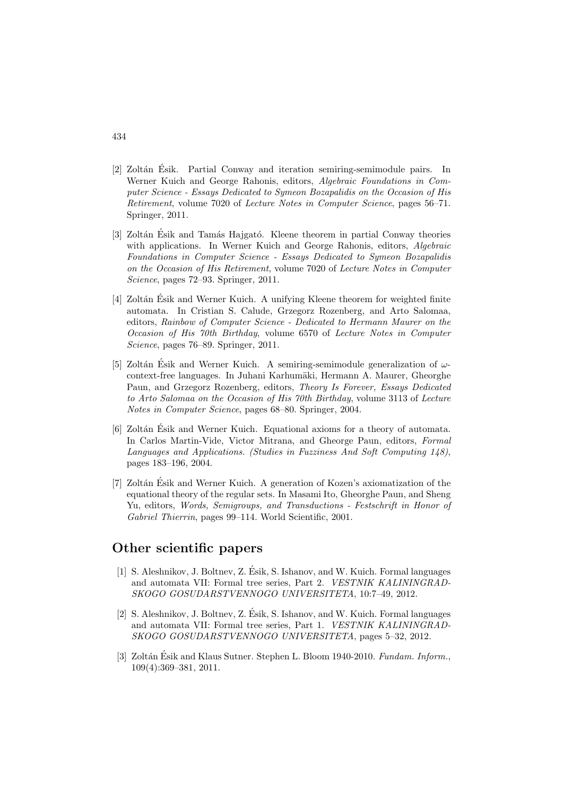- [2] Zoltán Ésik. Partial Conway and iteration semiring-semimodule pairs. In Werner Kuich and George Rahonis, editors, Algebraic Foundations in Computer Science - Essays Dedicated to Symeon Bozapalidis on the Occasion of His Retirement, volume 7020 of Lecture Notes in Computer Science, pages 56–71. Springer, 2011.
- [3] Zoltán Ésik and Tamás Hajgató. Kleene theorem in partial Conway theories with applications. In Werner Kuich and George Rahonis, editors, Algebraic Foundations in Computer Science - Essays Dedicated to Symeon Bozapalidis on the Occasion of His Retirement, volume 7020 of Lecture Notes in Computer Science, pages 72–93. Springer, 2011.
- [4] Zoltán Ésik and Werner Kuich. A unifying Kleene theorem for weighted finite automata. In Cristian S. Calude, Grzegorz Rozenberg, and Arto Salomaa, editors, Rainbow of Computer Science - Dedicated to Hermann Maurer on the Occasion of His 70th Birthday, volume 6570 of Lecture Notes in Computer Science, pages 76–89. Springer, 2011.
- [5] Zoltán Ésik and Werner Kuich. A semiring-semimodule generalization of  $\omega$ context-free languages. In Juhani Karhumäki, Hermann A. Maurer, Gheorghe Paun, and Grzegorz Rozenberg, editors, Theory Is Forever, Essays Dedicated to Arto Salomaa on the Occasion of His 70th Birthday, volume 3113 of Lecture Notes in Computer Science, pages 68–80. Springer, 2004.
- [6] Zoltán Ésik and Werner Kuich. Equational axioms for a theory of automata. In Carlos Martin-Vide, Victor Mitrana, and Gheorge Paun, editors, Formal Languages and Applications. (Studies in Fuzziness And Soft Computing 148), pages 183–196, 2004.
- [7] Zoltán Ésik and Werner Kuich. A generation of Kozen's axiomatization of the equational theory of the regular sets. In Masami Ito, Gheorghe Paun, and Sheng Yu, editors, Words, Semigroups, and Transductions - Festschrift in Honor of Gabriel Thierrin, pages 99–114. World Scientific, 2001.

## Other scientific papers

- [1] S. Aleshnikov, J. Boltnev, Z. Esik, S. Ishanov, and W. Kuich. Formal languages ´ and automata VII: Formal tree series, Part 2. VESTNIK KALININGRAD-SKOGO GOSUDARSTVENNOGO UNIVERSITETA, 10:7–49, 2012.
- [2] S. Aleshnikov, J. Boltnev, Z. Esik, S. Ishanov, and W. Kuich. Formal languages ´ and automata VII: Formal tree series, Part 1. VESTNIK KALININGRAD-SKOGO GOSUDARSTVENNOGO UNIVERSITETA, pages 5–32, 2012.
- [3] Zoltán Ésik and Klaus Sutner. Stephen L. Bloom 1940-2010. Fundam. Inform., 109(4):369–381, 2011.

#### 434